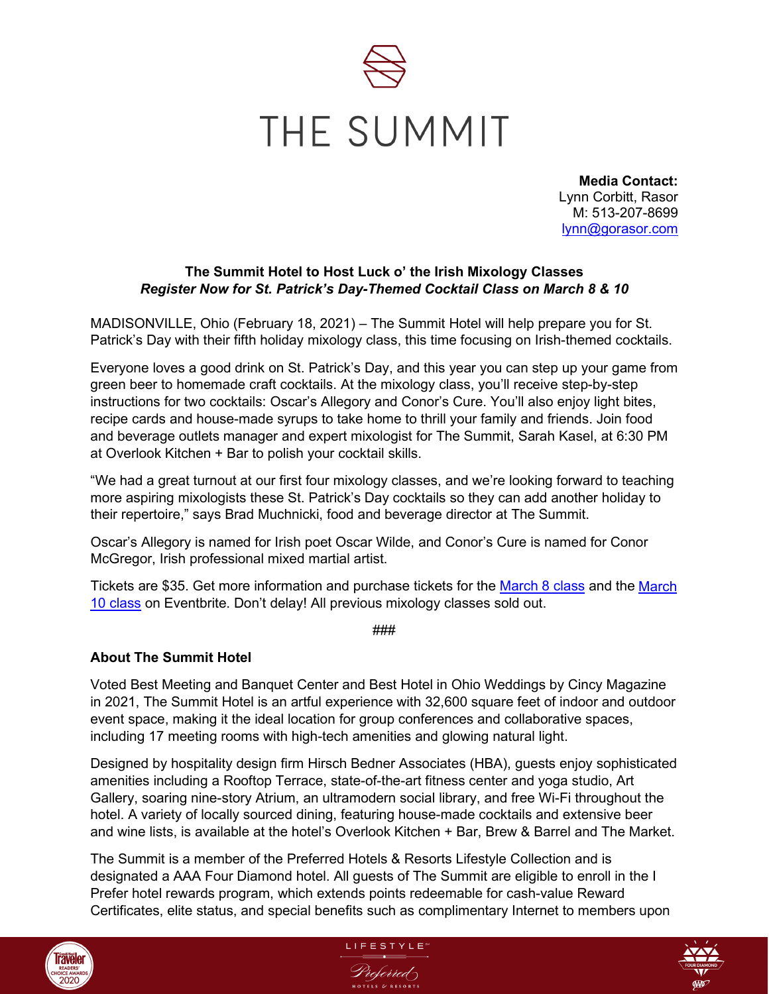

**Media Contact:** Lynn Corbitt, Rasor M: 513-207-8699 [lynn@gorasor.com](mailto:lynn@gorasor.com)

## **The Summit Hotel to Host Luck o' the Irish Mixology Classes** *Register Now for St. Patrick's Day-Themed Cocktail Class on March 8 & 10*

MADISONVILLE, Ohio (February 18, 2021) – The Summit Hotel will help prepare you for St. Patrick's Day with their fifth holiday mixology class, this time focusing on Irish-themed cocktails.

Everyone loves a good drink on St. Patrick's Day, and this year you can step up your game from green beer to homemade craft cocktails. At the mixology class, you'll receive step-by-step instructions for two cocktails: Oscar's Allegory and Conor's Cure. You'll also enjoy light bites, recipe cards and house-made syrups to take home to thrill your family and friends. Join food and beverage outlets manager and expert mixologist for The Summit, Sarah Kasel, at 6:30 PM at Overlook Kitchen + Bar to polish your cocktail skills.

"We had a great turnout at our first four mixology classes, and we're looking forward to teaching more aspiring mixologists these St. Patrick's Day cocktails so they can add another holiday to their repertoire," says Brad Muchnicki, food and beverage director at The Summit.

Oscar's Allegory is named for Irish poet Oscar Wilde, and Conor's Cure is named for Conor McGregor, Irish professional mixed martial artist.

Tickets are \$35. Get more information and purchase tickets for the March [8 class](https://www.eventbrite.com/e/st-patricks-day-mixology-class-march-8th-tickets-260410393497) and the [March](https://www.eventbrite.com/e/st-patricks-day-mixology-class-march-10th-tickets-260427625037) [10 class](https://www.eventbrite.com/e/st-patricks-day-mixology-class-march-10th-tickets-260427625037) on Eventbrite. Don't delay! All previous mixology classes sold out.

###

## **About The Summit Hotel**

Voted Best Meeting and Banquet Center and Best Hotel in Ohio Weddings by Cincy Magazine in 2021, The Summit Hotel is an artful experience with 32,600 square feet of indoor and outdoor event space, making it the ideal location for group conferences and collaborative spaces, including 17 meeting rooms with high-tech amenities and glowing natural light.

Designed by hospitality design firm Hirsch Bedner Associates (HBA), guests enjoy sophisticated amenities including a Rooftop Terrace, state-of-the-art fitness center and yoga studio, Art Gallery, soaring nine-story Atrium, an ultramodern social library, and free Wi-Fi throughout the hotel. A variety of locally sourced dining, featuring house-made cocktails and extensive beer and wine lists, is available at the hotel's Overlook Kitchen + Bar, Brew & Barrel and The Market.

The Summit is a member of the Preferred Hotels & Resorts Lifestyle Collection and is designated a AAA Four Diamond hotel. All guests of The Summit are eligible to enroll in the I Prefer hotel rewards program, which extends points redeemable for cash-value Reward Certificates, elite status, and special benefits such as complimentary Internet to members upon